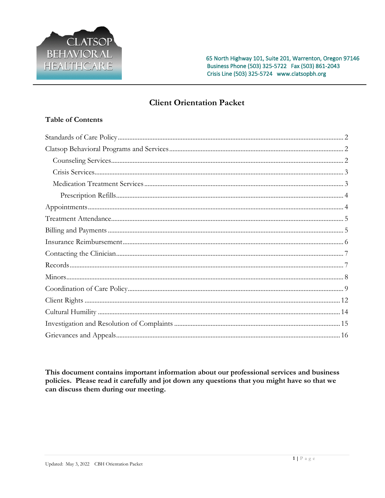

# **Client Orientation Packet**

# **Table of Contents**

This document contains important information about our professional services and business policies. Please read it carefully and jot down any questions that you might have so that we can discuss them during our meeting.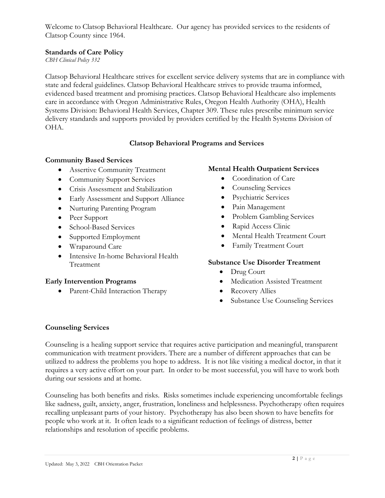Welcome to Clatsop Behavioral Healthcare. Our agency has provided services to the residents of Clatsop County since 1964.

### <span id="page-1-0"></span>**Standards of Care Policy**

*CBH Clinical Policy 332*

Clatsop Behavioral Healthcare strives for excellent service delivery systems that are in compliance with state and federal guidelines. Clatsop Behavioral Healthcare strives to provide trauma informed, evidenced based treatment and promising practices. Clatsop Behavioral Healthcare also implements care in accordance with Oregon Administrative Rules, Oregon Health Authority (OHA), Health Systems Division: Behavioral Health Services, Chapter 309. These rules prescribe minimum service delivery standards and supports provided by providers certified by the Health Systems Division of OHA.

# **Clatsop Behavioral Programs and Services**

#### <span id="page-1-1"></span>**Community Based Services**

- Assertive Community Treatment
- Community Support Services
- Crisis Assessment and Stabilization
- Early Assessment and Support Alliance
- Nurturing Parenting Program
- Peer Support
- School-Based Services
- Supported Employment
- Wraparound Care
- Intensive In-home Behavioral Health Treatment

#### **Early Intervention Programs**

• Parent-Child Interaction Therapy

#### **Mental Health Outpatient Services**

- Coordination of Care
- Counseling Services
- Psychiatric Services
- Pain Management
- Problem Gambling Services
- Rapid Access Clinic
- Mental Health Treatment Court
- Family Treatment Court

#### **Substance Use Disorder Treatment**

- Drug Court
- Medication Assisted Treatment
- Recovery Allies
- Substance Use Counseling Services

#### <span id="page-1-2"></span>**Counseling Services**

Counseling is a healing support service that requires active participation and meaningful, transparent communication with treatment providers. There are a number of different approaches that can be utilized to address the problems you hope to address. It is not like visiting a medical doctor, in that it requires a very active effort on your part. In order to be most successful, you will have to work both during our sessions and at home.

Counseling has both benefits and risks. Risks sometimes include experiencing uncomfortable feelings like sadness, guilt, anxiety, anger, frustration, loneliness and helplessness. Psychotherapy often requires recalling unpleasant parts of your history. Psychotherapy has also been shown to have benefits for people who work at it. It often leads to a significant reduction of feelings of distress, better relationships and resolution of specific problems.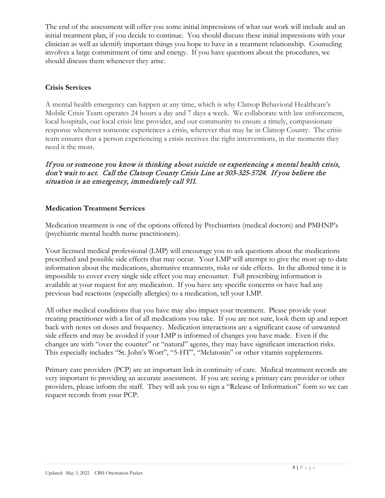The end of the assessment will offer you some initial impressions of what our work will include and an initial treatment plan, if you decide to continue. You should discuss these initial impressions with your clinician as well as identify important things you hope to have in a treatment relationship. Counseling involves a large commitment of time and energy. If you have questions about the procedures, we should discuss them whenever they arise.

### <span id="page-2-0"></span>**Crisis Services**

A mental health emergency can happen at any time, which is why Clatsop Behavioral Healthcare's Mobile Crisis Team operates 24 hours a day and 7 days a week. We collaborate with law enforcement, local hospitals, our local crisis line provider, and our community to ensure a timely, compassionate response whenever someone experiences a crisis, wherever that may be in Clatsop County. The crisis team ensures that a person experiencing a crisis receives the right interventions, in the moments they need it the most.

If you or someone you know is thinking about suicide or experiencing a mental health crisis, don't wait to act. Call the Clatsop County Crisis Line at 503-325-5724. If you believe the situation is an emergency, immediately call 911.

#### <span id="page-2-1"></span>**Medication Treatment Services**

Medication treatment is one of the options offered by Psychiatrists (medical doctors) and PMHNP's (psychiatric mental health nurse practitioners).

Your licensed medical professional (LMP) will encourage you to ask questions about the medications prescribed and possible side effects that may occur. Your LMP will attempt to give the most up to date information about the medications, alternative treatments, risks or side effects. In the allotted time it is impossible to cover every single side effect you may encounter. Full prescribing information is available at your request for any medication. If you have any specific concerns or have had any previous bad reactions (especially allergies) to a medication, tell your LMP.

All other medical conditions that you have may also impact your treatment. Please provide your treating practitioner with a list of all medications you take. If you are not sure, look them up and report back with notes on doses and frequency. Medication interactions are a significant cause of unwanted side effects and may be avoided if your LMP is informed of changes you have made. Even if the changes are with "over the counter" or "natural" agents, they may have significant interaction risks. This especially includes "St. John's Wort", "5-HT", "Melatonin" or other vitamin supplements.

Primary care providers (PCP) are an important link in continuity of care. Medical treatment records are very important to providing an accurate assessment. If you are seeing a primary care provider or other providers, please inform the staff. They will ask you to sign a "Release of Information" form so we can request records from your PCP.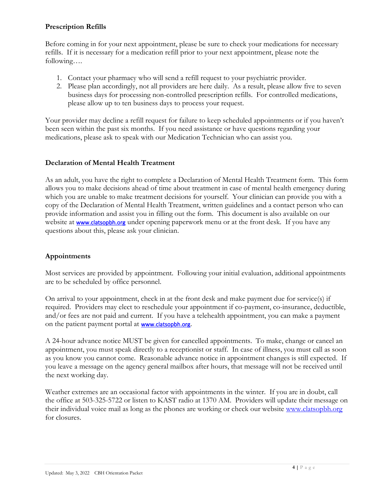### <span id="page-3-0"></span>**Prescription Refills**

Before coming in for your next appointment, please be sure to check your medications for necessary refills. If it is necessary for a medication refill prior to your next appointment, please note the following….

- 1. Contact your pharmacy who will send a refill request to your psychiatric provider.
- 2. Please plan accordingly, not all providers are here daily. As a result, please allow five to seven business days for processing non-controlled prescription refills. For controlled medications, please allow up to ten business days to process your request.

Your provider may decline a refill request for failure to keep scheduled appointments or if you haven't been seen within the past six months. If you need assistance or have questions regarding your medications, please ask to speak with our Medication Technician who can assist you.

# **Declaration of Mental Health Treatment**

As an adult, you have the right to complete a Declaration of Mental Health Treatment form. This form allows you to make decisions ahead of time about treatment in case of mental health emergency during which you are unable to make treatment decisions for yourself. Your clinician can provide you with a copy of the Declaration of Mental Health Treatment, written guidelines and a contact person who can provide information and assist you in filling out the form. This document is also available on our website at [www.clatsopbh.org](http://www.clatsopbh.org/) under opening paperwork menu or at the front desk. If you have any questions about this, please ask your clinician.

# <span id="page-3-1"></span>**Appointments**

Most services are provided by appointment. Following your initial evaluation, additional appointments are to be scheduled by office personnel.

On arrival to your appointment, check in at the front desk and make payment due for service(s) if required. Providers may elect to reschedule your appointment if co-payment, co-insurance, deductible, and/or fees are not paid and current. If you have a telehealth appointment, you can make a payment on the patient payment portal at [www.clatsopbh.org](http://www.clatsopbh.org/).

A 24-hour advance notice MUST be given for cancelled appointments. To make, change or cancel an appointment, you must speak directly to a receptionist or staff. In case of illness, you must call as soon as you know you cannot come. Reasonable advance notice in appointment changes is still expected. If you leave a message on the agency general mailbox after hours, that message will not be received until the next working day.

Weather extremes are an occasional factor with appointments in the winter. If you are in doubt, call the office at 503-325-5722 or listen to KAST radio at 1370 AM. Providers will update their message on their individual voice mail as long as the phones are working or check our website [www.clatsopbh.org](http://www.clatsopbh.org/) for closures.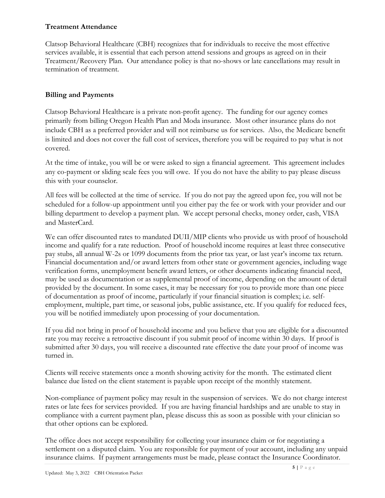### <span id="page-4-0"></span>**Treatment Attendance**

Clatsop Behavioral Healthcare (CBH) recognizes that for individuals to receive the most effective services available, it is essential that each person attend sessions and groups as agreed on in their Treatment/Recovery Plan. Our attendance policy is that no-shows or late cancellations may result in termination of treatment.

# <span id="page-4-1"></span>**Billing and Payments**

Clatsop Behavioral Healthcare is a private non-profit agency. The funding for our agency comes primarily from billing Oregon Health Plan and Moda insurance. Most other insurance plans do not include CBH as a preferred provider and will not reimburse us for services. Also, the Medicare benefit is limited and does not cover the full cost of services, therefore you will be required to pay what is not covered.

At the time of intake, you will be or were asked to sign a financial agreement. This agreement includes any co-payment or sliding scale fees you will owe. If you do not have the ability to pay please discuss this with your counselor.

All fees will be collected at the time of service. If you do not pay the agreed upon fee, you will not be scheduled for a follow-up appointment until you either pay the fee or work with your provider and our billing department to develop a payment plan. We accept personal checks, money order, cash, VISA and MasterCard.

We can offer discounted rates to mandated DUII/MIP clients who provide us with proof of household income and qualify for a rate reduction. Proof of household income requires at least three consecutive pay stubs, all annual W-2s or 1099 documents from the prior tax year, or last year's income tax return. Financial documentation and/or award letters from other state or government agencies, including wage verification forms, unemployment benefit award letters, or other documents indicating financial need, may be used as documentation or as supplemental proof of income, depending on the amount of detail provided by the document. In some cases, it may be necessary for you to provide more than one piece of documentation as proof of income, particularly if your financial situation is complex; i.e. selfemployment, multiple, part time, or seasonal jobs, public assistance, etc. If you qualify for reduced fees, you will be notified immediately upon processing of your documentation.

If you did not bring in proof of household income and you believe that you are eligible for a discounted rate you may receive a retroactive discount if you submit proof of income within 30 days. If proof is submitted after 30 days, you will receive a discounted rate effective the date your proof of income was turned in.

Clients will receive statements once a month showing activity for the month. The estimated client balance due listed on the client statement is payable upon receipt of the monthly statement.

Non-compliance of payment policy may result in the suspension of services. We do not charge interest rates or late fees for services provided. If you are having financial hardships and are unable to stay in compliance with a current payment plan, please discuss this as soon as possible with your clinician so that other options can be explored.

The office does not accept responsibility for collecting your insurance claim or for negotiating a settlement on a disputed claim. You are responsible for payment of your account, including any unpaid insurance claims. If payment arrangements must be made, please contact the Insurance Coordinator.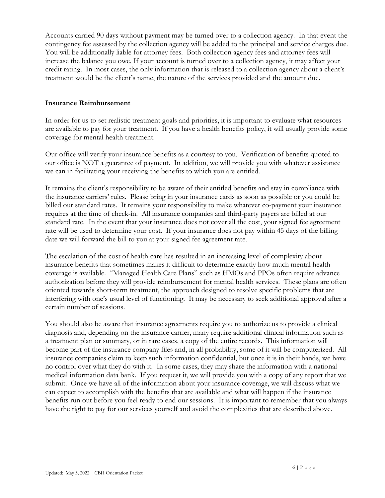Accounts carried 90 days without payment may be turned over to a collection agency. In that event the contingency fee assessed by the collection agency will be added to the principal and service charges due. You will be additionally liable for attorney fees. Both collection agency fees and attorney fees will increase the balance you owe. If your account is turned over to a collection agency, it may affect your credit rating. In most cases, the only information that is released to a collection agency about a client's treatment would be the client's name, the nature of the services provided and the amount due.

#### <span id="page-5-0"></span>**Insurance Reimbursement**

In order for us to set realistic treatment goals and priorities, it is important to evaluate what resources are available to pay for your treatment. If you have a health benefits policy, it will usually provide some coverage for mental health treatment.

Our office will verify your insurance benefits as a courtesy to you. Verification of benefits quoted to our office is NOT a guarantee of payment. In addition, we will provide you with whatever assistance we can in facilitating your receiving the benefits to which you are entitled.

It remains the client's responsibility to be aware of their entitled benefits and stay in compliance with the insurance carriers' rules. Please bring in your insurance cards as soon as possible or you could be billed our standard rates. It remains your responsibility to make whatever co-payment your insurance requires at the time of check-in. All insurance companies and third-party payers are billed at our standard rate. In the event that your insurance does not cover all the cost, your signed fee agreement rate will be used to determine your cost. If your insurance does not pay within 45 days of the billing date we will forward the bill to you at your signed fee agreement rate.

The escalation of the cost of health care has resulted in an increasing level of complexity about insurance benefits that sometimes makes it difficult to determine exactly how much mental health coverage is available. "Managed Health Care Plans" such as HMOs and PPOs often require advance authorization before they will provide reimbursement for mental health services. These plans are often oriented towards short-term treatment, the approach designed to resolve specific problems that are interfering with one's usual level of functioning. It may be necessary to seek additional approval after a certain number of sessions.

You should also be aware that insurance agreements require you to authorize us to provide a clinical diagnosis and, depending on the insurance carrier, many require additional clinical information such as a treatment plan or summary, or in rare cases, a copy of the entire records. This information will become part of the insurance company files and, in all probability, some of it will be computerized. All insurance companies claim to keep such information confidential, but once it is in their hands, we have no control over what they do with it. In some cases, they may share the information with a national medical information data bank. If you request it, we will provide you with a copy of any report that we submit. Once we have all of the information about your insurance coverage, we will discuss what we can expect to accomplish with the benefits that are available and what will happen if the insurance benefits run out before you feel ready to end our sessions. It is important to remember that you always have the right to pay for our services yourself and avoid the complexities that are described above.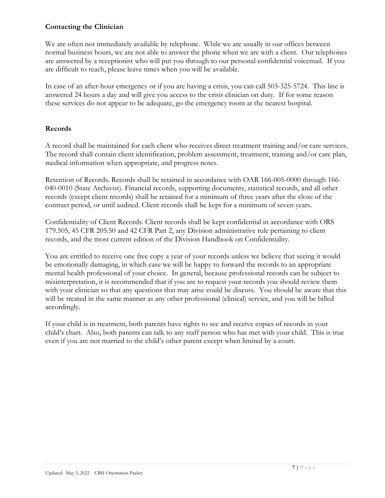#### <span id="page-6-0"></span>**Contacting the Clinician**

We are often not immediately available by telephone. While we are usually in our offices between normal business hours, we are not able to answer the phone when we are with a client. Our telephones are answered by a receptionist who will put you through to our personal confidential voicemail. If you are difficult to reach, please leave times when you will be available.

In case of an after-hour emergency or if you are having a crisis, you can call 503-325-5724. This line is answered 24 hours a day and will give you access to the crisis clinician on duty. If for some reason these services do not appear to be adequate, go the emergency room at the nearest hospital.

#### <span id="page-6-1"></span>**Records**

A record shall be maintained for each client who receives direct treatment training and/or care services. The record shall contain client identification, problem assessment, treatment, training and/or care plan, medical information when appropriate, and progress notes.

Retention of Records. Records shall be retained in accordance with OAR 166-005-0000 through 166- 040-0010 (State Archivist). Financial records, supporting documents, statistical records, and all other records (except client records) shall be retained for a minimum of three years after the close of the contract period, or until audited. Client records shall be kept for a minimum of seven years.

Confidentiality of Client Records. Client records shall be kept confidential in accordance with ORS 179.505, 45 CFR 205.50 and 42 CFR Part 2, any Division administrative rule pertaining to client records, and the most current edition of the Division Handbook on Confidentiality.

You are entitled to receive one free copy a year of your records unless we believe that seeing it would be emotionally damaging, in which case we will be happy to forward the records to an appropriate mental health professional of your choice. In general, because professional records can be subject to misinterpretation, it is recommended that if you are to request your records you should review them with your clinician so that any questions that may arise could be discuss. You should be aware that this will be treated in the same manner as any other professional (clinical) service, and you will be billed accordingly.

If your child is in treatment, both parents have rights to see and receive copies of records in your child's chart. Also, both parents can talk to any staff person who has met with your child. This is true even if you are not married to the child's other parent except when limited by a court.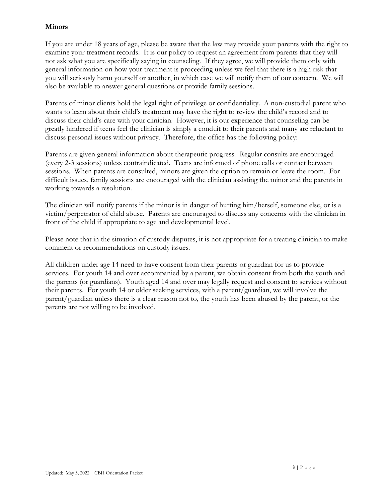# <span id="page-7-0"></span>**Minors**

If you are under 18 years of age, please be aware that the law may provide your parents with the right to examine your treatment records. It is our policy to request an agreement from parents that they will not ask what you are specifically saying in counseling. If they agree, we will provide them only with general information on how your treatment is proceeding unless we feel that there is a high risk that you will seriously harm yourself or another, in which case we will notify them of our concern. We will also be available to answer general questions or provide family sessions.

Parents of minor clients hold the legal right of privilege or confidentiality. A non-custodial parent who wants to learn about their child's treatment may have the right to review the child's record and to discuss their child's care with your clinician. However, it is our experience that counseling can be greatly hindered if teens feel the clinician is simply a conduit to their parents and many are reluctant to discuss personal issues without privacy. Therefore, the office has the following policy:

Parents are given general information about therapeutic progress. Regular consults are encouraged (every 2-3 sessions) unless contraindicated. Teens are informed of phone calls or contact between sessions. When parents are consulted, minors are given the option to remain or leave the room. For difficult issues, family sessions are encouraged with the clinician assisting the minor and the parents in working towards a resolution.

The clinician will notify parents if the minor is in danger of hurting him/herself, someone else, or is a victim/perpetrator of child abuse. Parents are encouraged to discuss any concerns with the clinician in front of the child if appropriate to age and developmental level.

Please note that in the situation of custody disputes, it is not appropriate for a treating clinician to make comment or recommendations on custody issues.

All children under age 14 need to have consent from their parents or guardian for us to provide services. For youth 14 and over accompanied by a parent, we obtain consent from both the youth and the parents (or guardians). Youth aged 14 and over may legally request and consent to services without their parents. For youth 14 or older seeking services, with a parent/guardian, we will involve the parent/guardian unless there is a clear reason not to, the youth has been abused by the parent, or the parents are not willing to be involved.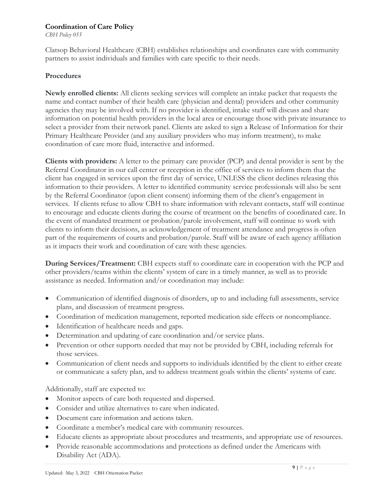#### <span id="page-8-0"></span>**Coordination of Care Policy**

*CBH Policy 055*

Clatsop Behavioral Healthcare (CBH) establishes relationships and coordinates care with community partners to assist individuals and families with care specific to their needs.

#### **Procedures**

**Newly enrolled clients:** All clients seeking services will complete an intake packet that requests the name and contact number of their health care (physician and dental) providers and other community agencies they may be involved with. If no provider is identified, intake staff will discuss and share information on potential health providers in the local area or encourage those with private insurance to select a provider from their network panel. Clients are asked to sign a Release of Information for their Primary Healthcare Provider (and any auxiliary providers who may inform treatment), to make coordination of care more fluid, interactive and informed.

**Clients with providers:** A letter to the primary care provider (PCP) and dental provider is sent by the Referral Coordinator in our call center or reception in the office of services to inform them that the client has engaged in services upon the first day of service, UNLESS the client declines releasing this information to their providers. A letter to identified community service professionals will also be sent by the Referral Coordinator (upon client consent) informing them of the client's engagement in services. If clients refuse to allow CBH to share information with relevant contacts, staff will continue to encourage and educate clients during the course of treatment on the benefits of coordinated care. In the event of mandated treatment or probation/parole involvement, staff will continue to work with clients to inform their decisions, as acknowledgement of treatment attendance and progress is often part of the requirements of courts and probation/parole. Staff will be aware of each agency affiliation as it impacts their work and coordination of care with these agencies.

**During Services/Treatment:** CBH expects staff to coordinate care in cooperation with the PCP and other providers/teams within the clients' system of care in a timely manner, as well as to provide assistance as needed. Information and/or coordination may include:

- Communication of identified diagnosis of disorders, up to and including full assessments, service plans, and discussion of treatment progress.
- Coordination of medication management, reported medication side effects or noncompliance.
- Identification of healthcare needs and gaps.
- Determination and updating of care coordination and/or service plans.
- Prevention or other supports needed that may not be provided by CBH, including referrals for those services.
- Communication of client needs and supports to individuals identified by the client to either create or communicate a safety plan, and to address treatment goals within the clients' systems of care.

Additionally, staff are expected to:

- Monitor aspects of care both requested and dispersed.
- Consider and utilize alternatives to care when indicated.
- Document care information and actions taken.
- Coordinate a member's medical care with community resources.
- Educate clients as appropriate about procedures and treatments, and appropriate use of resources.
- Provide reasonable accommodations and protections as defined under the Americans with Disability Act (ADA).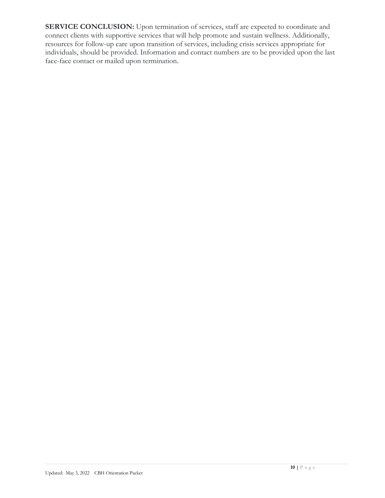**SERVICE CONCLUSION:** Upon termination of services, staff are expected to coordinate and connect clients with supportive services that will help promote and sustain wellness. Additionally, resources for follow-up care upon transition of services, including crisis services appropriate for individuals, should be provided. Information and contact numbers are to be provided upon the last face-face contact or mailed upon termination.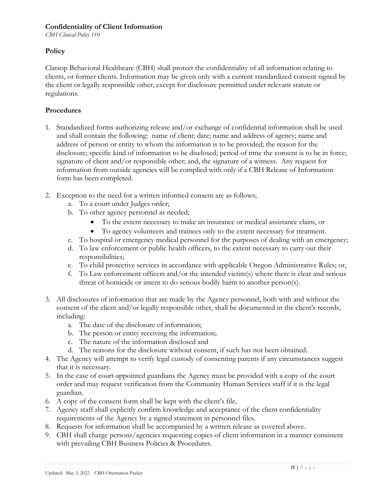#### **Confidentiality of Client Information**

*CBH Clinical Policy 110*

#### **Policy**

Clatsop Behavioral Healthcare (CBH) shall protect the confidentiality of all information relating to clients, or former clients. Information may be given only with a current standardized consent signed by the client or legally responsible other, except for disclosure permitted under relevant statute or regulations.

#### **Procedures**

- 1. Standardized forms authorizing release and/or exchange of confidential information shall be used and shall contain the following: name of client; date; name and address of agency; name and address of person or entity to whom the information is to be provided; the reason for the disclosure; specific kind of information to be disclosed; period of time the consent is to be in force; signature of client and/or responsible other; and, the signature of a witness. Any request for information from outside agencies will be complied with only if a CBH Release of Information form has been completed.
- 2. Exception to the need for a written informed consent are as follows;
	- a. To a court under Judges order;
	- b. To other agency personnel as needed;
		- To the extent necessary to make an insurance or medical assistance claim, or
		- To agency volunteers and trainees only to the extent necessary for treatment.
	- c. To hospital or emergency medical personnel for the purposes of dealing with an emergency;
	- d. To law enforcement or public health officers, to the extent necessary to carry out their responsibilities;
	- e. To child protective services in accordance with applicable Oregon Administrative Rules; or,
	- f. To Law enforcement officers and/or the intended victim(s) where there is clear and serious threat of homicide or intent to do serious bodily harm to another person(s).
- 3. All disclosures of information that are made by the Agency personnel, both with and without the consent of the client and/or legally responsible other, shall be documented in the client's records, including:
	- a. The date of the disclosure of information;
	- b. The person or entity receiving the information;
	- c. The nature of the information disclosed and
	- d. The reasons for the disclosure without consent, if such has not been obtained.
- 4. The Agency will attempt to verify legal custody of consenting parents if any circumstances suggest that it is necessary.
- 5. In the case of court-appointed guardians the Agency must be provided with a copy of the court order and may request verification from the Community Human Services staff if it is the legal guardian.
- 6. A copy of the consent form shall be kept with the client's file.
- 7. Agency staff shall explicitly confirm knowledge and acceptance of the client confidentiality requirements of the Agency by a signed statement in personnel files.
- 8. Requests for information shall be accompanied by a written release as covered above.
- 9. CBH shall charge persons/agencies requesting copies of client information in a manner consistent with prevailing CBH Business Policies & Procedures.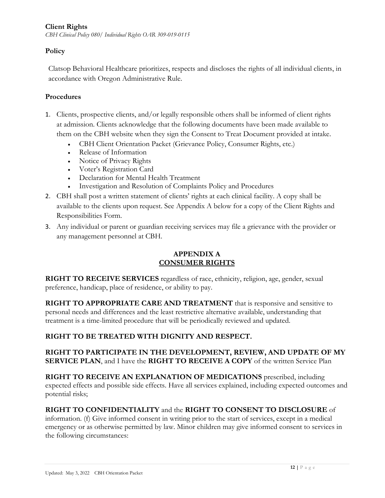#### <span id="page-11-0"></span>**Client Rights**

*CBH Clinical Policy 080/ Individual Rights OAR 309-019-0115* 

# **Policy**

Clatsop Behavioral Healthcare prioritizes, respects and discloses the rights of all individual clients, in accordance with Oregon Administrative Rule.

# **Procedures**

- 1. Clients, prospective clients, and/or legally responsible others shall be informed of client rights at admission. Clients acknowledge that the following documents have been made available to them on the CBH website when they sign the Consent to Treat Document provided at intake.
	- CBH Client Orientation Packet (Grievance Policy, Consumer Rights, etc.)
	- Release of Information
	- Notice of Privacy Rights
	- Voter's Registration Card
	- Declaration for Mental Health Treatment
	- Investigation and Resolution of Complaints Policy and Procedures
- 2. CBH shall post a written statement of clients' rights at each clinical facility. A copy shall be available to the clients upon request. See Appendix A below for a copy of the Client Rights and Responsibilities Form.
- 3. Any individual or parent or guardian receiving services may file a grievance with the provider or any management personnel at CBH.

# **APPENDIX A CONSUMER RIGHTS**

**RIGHT TO RECEIVE SERVICES** regardless of race, ethnicity, religion, age, gender, sexual preference, handicap, place of residence, or ability to pay.

**RIGHT TO APPROPRIATE CARE AND TREATMENT** that is responsive and sensitive to personal needs and differences and the least restrictive alternative available, understanding that treatment is a time-limited procedure that will be periodically reviewed and updated.

# **RIGHT TO BE TREATED WITH DIGNITY AND RESPECT.**

#### **RIGHT TO PARTICIPATE IN THE DEVELOPMENT, REVIEW, AND UPDATE OF MY SERVICE PLAN**, and I have the **RIGHT TO RECEIVE A COPY** of the written Service Plan

**RIGHT TO RECEIVE AN EXPLANATION OF MEDICATIONS** prescribed, including expected effects and possible side effects. Have all services explained, including expected outcomes and potential risks;

# **RIGHT TO CONFIDENTIALITY** and the **RIGHT TO CONSENT TO DISCLOSURE** of

information. (f) Give informed consent in writing prior to the start of services, except in a medical emergency or as otherwise permitted by law. Minor children may give informed consent to services in the following circumstances: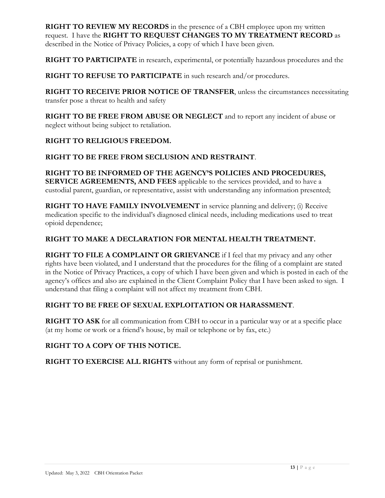**RIGHT TO REVIEW MY RECORDS** in the presence of a CBH employee upon my written request. I have the **RIGHT TO REQUEST CHANGES TO MY TREATMENT RECORD** as described in the Notice of Privacy Policies, a copy of which I have been given.

**RIGHT TO PARTICIPATE** in research, experimental, or potentially hazardous procedures and the

**RIGHT TO REFUSE TO PARTICIPATE** in such research and/or procedures.

**RIGHT TO RECEIVE PRIOR NOTICE OF TRANSFER**, unless the circumstances necessitating transfer pose a threat to health and safety

**RIGHT TO BE FREE FROM ABUSE OR NEGLECT** and to report any incident of abuse or neglect without being subject to retaliation.

#### **RIGHT TO RELIGIOUS FREEDOM.**

#### **RIGHT TO BE FREE FROM SECLUSION AND RESTRAINT**.

**RIGHT TO BE INFORMED OF THE AGENCY'S POLICIES AND PROCEDURES, SERVICE AGREEMENTS, AND FEES** applicable to the services provided, and to have a custodial parent, guardian, or representative, assist with understanding any information presented;

**RIGHT TO HAVE FAMILY INVOLVEMENT** in service planning and delivery; (i) Receive medication specific to the individual's diagnosed clinical needs, including medications used to treat opioid dependence;

#### **RIGHT TO MAKE A DECLARATION FOR MENTAL HEALTH TREATMENT.**

**RIGHT TO FILE A COMPLAINT OR GRIEVANCE** if I feel that my privacy and any other rights have been violated, and I understand that the procedures for the filing of a complaint are stated in the Notice of Privacy Practices, a copy of which I have been given and which is posted in each of the agency's offices and also are explained in the Client Complaint Policy that I have been asked to sign. I understand that filing a complaint will not affect my treatment from CBH.

# **RIGHT TO BE FREE OF SEXUAL EXPLOITATION OR HARASSMENT**.

**RIGHT TO ASK** for all communication from CBH to occur in a particular way or at a specific place (at my home or work or a friend's house, by mail or telephone or by fax, etc.)

# **RIGHT TO A COPY OF THIS NOTICE.**

**RIGHT TO EXERCISE ALL RIGHTS** without any form of reprisal or punishment.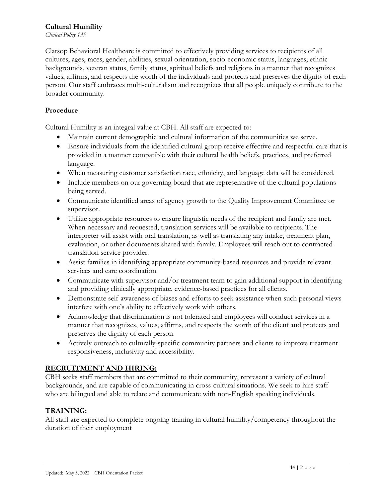#### <span id="page-13-0"></span>**Cultural Humility**

*Clinical Policy 135*

Clatsop Behavioral Healthcare is committed to effectively providing services to recipients of all cultures, ages, races, gender, abilities, sexual orientation, socio-economic status, languages, ethnic backgrounds, veteran status, family status, spiritual beliefs and religions in a manner that recognizes values, affirms, and respects the worth of the individuals and protects and preserves the dignity of each person. Our staff embraces multi-culturalism and recognizes that all people uniquely contribute to the broader community.

### **Procedure**

Cultural Humility is an integral value at CBH. All staff are expected to:

- Maintain current demographic and cultural information of the communities we serve.
- Ensure individuals from the identified cultural group receive effective and respectful care that is provided in a manner compatible with their cultural health beliefs, practices, and preferred language.
- When measuring customer satisfaction race, ethnicity, and language data will be considered.
- Include members on our governing board that are representative of the cultural populations being served.
- Communicate identified areas of agency growth to the Quality Improvement Committee or supervisor.
- Utilize appropriate resources to ensure linguistic needs of the recipient and family are met. When necessary and requested, translation services will be available to recipients. The interpreter will assist with oral translation, as well as translating any intake, treatment plan, evaluation, or other documents shared with family. Employees will reach out to contracted translation service provider.
- Assist families in identifying appropriate community-based resources and provide relevant services and care coordination.
- Communicate with supervisor and/or treatment team to gain additional support in identifying and providing clinically appropriate, evidence-based practices for all clients.
- Demonstrate self-awareness of biases and efforts to seek assistance when such personal views interfere with one's ability to effectively work with others.
- Acknowledge that discrimination is not tolerated and employees will conduct services in a manner that recognizes, values, affirms, and respects the worth of the client and protects and preserves the dignity of each person.
- Actively outreach to culturally-specific community partners and clients to improve treatment responsiveness, inclusivity and accessibility.

# **RECRUITMENT AND HIRING:**

CBH seeks staff members that are committed to their community, represent a variety of cultural backgrounds, and are capable of communicating in cross-cultural situations. We seek to hire staff who are bilingual and able to relate and communicate with non-English speaking individuals.

# **TRAINING:**

All staff are expected to complete ongoing training in cultural humility/competency throughout the duration of their employment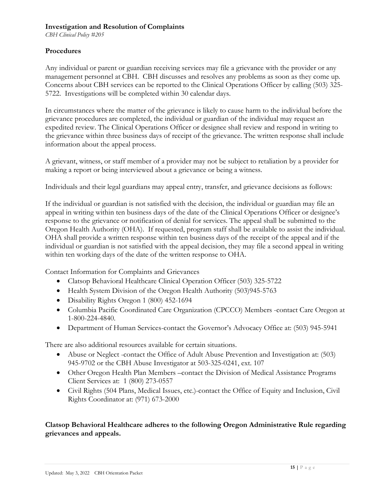#### <span id="page-14-0"></span>**Investigation and Resolution of Complaints**

*CBH Clinical Policy #205*

#### **Procedures**

Any individual or parent or guardian receiving services may file a grievance with the provider or any management personnel at CBH. CBH discusses and resolves any problems as soon as they come up. Concerns about CBH services can be reported to the Clinical Operations Officer by calling (503) 325- 5722. Investigations will be completed within 30 calendar days.

In circumstances where the matter of the grievance is likely to cause harm to the individual before the grievance procedures are completed, the individual or guardian of the individual may request an expedited review. The Clinical Operations Officer or designee shall review and respond in writing to the grievance within three business days of receipt of the grievance. The written response shall include information about the appeal process.

A grievant, witness, or staff member of a provider may not be subject to retaliation by a provider for making a report or being interviewed about a grievance or being a witness.

Individuals and their legal guardians may appeal entry, transfer, and grievance decisions as follows:

If the individual or guardian is not satisfied with the decision, the individual or guardian may file an appeal in writing within ten business days of the date of the Clinical Operations Officer or designee's response to the grievance or notification of denial for services. The appeal shall be submitted to the Oregon Health Authority (OHA). If requested, program staff shall be available to assist the individual. OHA shall provide a written response within ten business days of the receipt of the appeal and if the individual or guardian is not satisfied with the appeal decision, they may file a second appeal in writing within ten working days of the date of the written response to OHA.

Contact Information for Complaints and Grievances

- Clatsop Behavioral Healthcare Clinical Operation Officer (503) 325-5722
- Health System Division of the Oregon Health Authority (503)945-5763
- Disability Rights Oregon 1 (800) 452-1694
- Columbia Pacific Coordinated Care Organization (CPCCO) Members -contact Care Oregon at 1-800-224-4840.
- Department of Human Services-contact the Governor's Advocacy Office at: (503) 945-5941

There are also additional resources available for certain situations.

- Abuse or Neglect -contact the Office of Adult Abuse Prevention and Investigation at: (503) 945-9702 or the CBH Abuse Investigator at 503-325-0241, ext. 107
- Other Oregon Health Plan Members –contact the Division of Medical Assistance Programs Client Services at: 1 (800) 273-0557
- Civil Rights (504 Plans, Medical Issues, etc.)-contact the Office of Equity and Inclusion, Civil Rights Coordinator at: (971) 673-2000

#### **Clatsop Behavioral Healthcare adheres to the following Oregon Administrative Rule regarding grievances and appeals.**